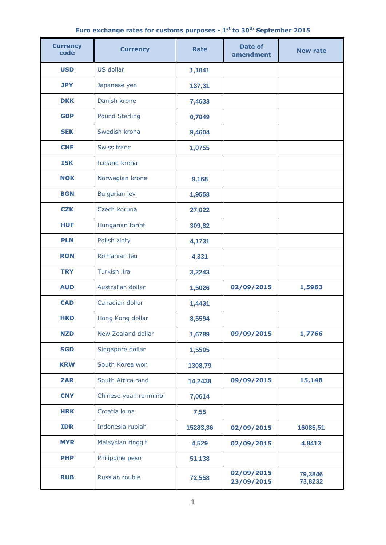| Euro exchange rates for customs purposes - 1 <sup>st</sup> to 30 <sup>th</sup> September 2015 |  |  |
|-----------------------------------------------------------------------------------------------|--|--|
|                                                                                               |  |  |

| <b>Currency</b><br>code | <b>Currency</b>       | <b>Rate</b> | Date of<br>amendment     | <b>New rate</b>    |
|-------------------------|-----------------------|-------------|--------------------------|--------------------|
| <b>USD</b>              | US dollar             | 1,1041      |                          |                    |
| <b>JPY</b>              | Japanese yen          | 137,31      |                          |                    |
| <b>DKK</b>              | Danish krone          | 7,4633      |                          |                    |
| <b>GBP</b>              | <b>Pound Sterling</b> | 0,7049      |                          |                    |
| <b>SEK</b>              | Swedish krona         | 9,4604      |                          |                    |
| <b>CHF</b>              | Swiss franc           | 1,0755      |                          |                    |
| <b>ISK</b>              | <b>Iceland krona</b>  |             |                          |                    |
| <b>NOK</b>              | Norwegian krone       | 9,168       |                          |                    |
| <b>BGN</b>              | <b>Bulgarian lev</b>  | 1,9558      |                          |                    |
| <b>CZK</b>              | Czech koruna          | 27,022      |                          |                    |
| <b>HUF</b>              | Hungarian forint      | 309,82      |                          |                    |
| <b>PLN</b>              | Polish zloty          | 4,1731      |                          |                    |
| <b>RON</b>              | Romanian leu          | 4,331       |                          |                    |
| <b>TRY</b>              | <b>Turkish lira</b>   | 3,2243      |                          |                    |
| <b>AUD</b>              | Australian dollar     | 1,5026      | 02/09/2015               | 1,5963             |
| <b>CAD</b>              | Canadian dollar       | 1,4431      |                          |                    |
| <b>HKD</b>              | Hong Kong dollar      | 8,5594      |                          |                    |
| <b>NZD</b>              | New Zealand dollar    | 1,6789      | 09/09/2015               | 1,7766             |
| <b>SGD</b>              | Singapore dollar      | 1,5505      |                          |                    |
| <b>KRW</b>              | South Korea won       | 1308,79     |                          |                    |
| <b>ZAR</b>              | South Africa rand     | 14,2438     | 09/09/2015               | 15,148             |
| <b>CNY</b>              | Chinese yuan renminbi | 7,0614      |                          |                    |
| <b>HRK</b>              | Croatia kuna          | 7,55        |                          |                    |
| <b>IDR</b>              | Indonesia rupiah      | 15283,36    | 02/09/2015               | 16085,51           |
| <b>MYR</b>              | Malaysian ringgit     | 4,529       | 02/09/2015               | 4,8413             |
| <b>PHP</b>              | Philippine peso       | 51,138      |                          |                    |
| <b>RUB</b>              | Russian rouble        | 72,558      | 02/09/2015<br>23/09/2015 | 79,3846<br>73,8232 |